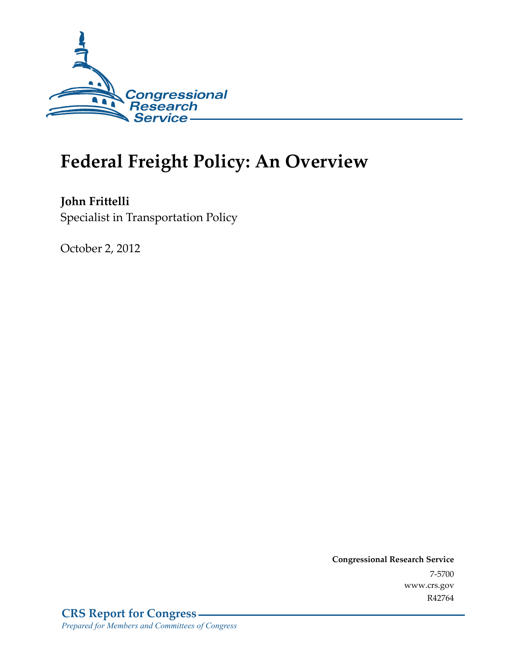

# **Federal Freight Policy: An Overview**

**John Frittelli**  Specialist in Transportation Policy

October 2, 2012

**Congressional Research Service**  7-5700 www.crs.gov R42764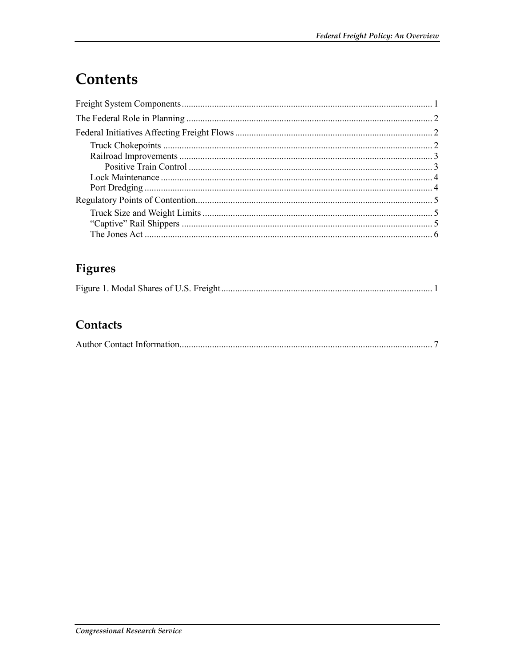## **Contents**

### Figures

#### Contacts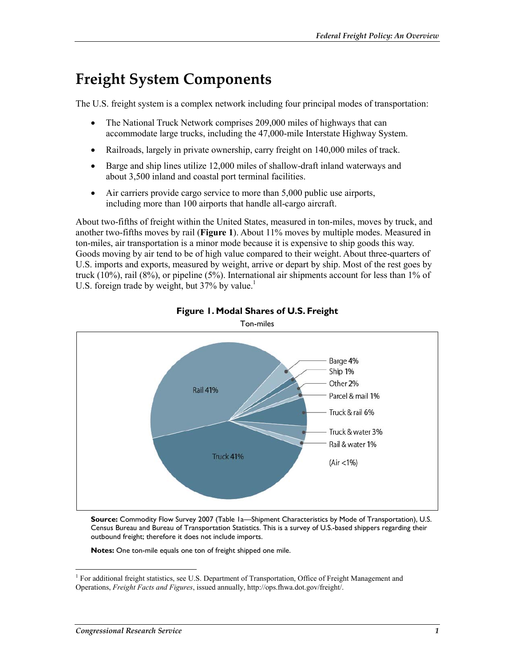### **Freight System Components**

The U.S. freight system is a complex network including four principal modes of transportation:

- The National Truck Network comprises 209,000 miles of highways that can accommodate large trucks, including the 47,000-mile Interstate Highway System.
- Railroads, largely in private ownership, carry freight on 140,000 miles of track.
- Barge and ship lines utilize 12,000 miles of shallow-draft inland waterways and about 3,500 inland and coastal port terminal facilities.
- Air carriers provide cargo service to more than 5,000 public use airports, including more than 100 airports that handle all-cargo aircraft.

About two-fifths of freight within the United States, measured in ton-miles, moves by truck, and another two-fifths moves by rail (**Figure 1**). About 11% moves by multiple modes. Measured in ton-miles, air transportation is a minor mode because it is expensive to ship goods this way. Goods moving by air tend to be of high value compared to their weight. About three-quarters of U.S. imports and exports, measured by weight, arrive or depart by ship. Most of the rest goes by truck  $(10\%)$ , rail  $(8\%)$ , or pipeline  $(5\%)$ . International air shipments account for less than 1% of U.S. foreign trade by weight, but  $37\%$  by value.<sup>1</sup>



#### **Figure 1. Modal Shares of U.S. Freight**

**Source:** Commodity Flow Survey 2007 (Table 1a—Shipment Characteristics by Mode of Transportation), U.S. Census Bureau and Bureau of Transportation Statistics. This is a survey of U.S.-based shippers regarding their outbound freight; therefore it does not include imports.

**Notes:** One ton-mile equals one ton of freight shipped one mile.

 1 For additional freight statistics, see U.S. Department of Transportation, Office of Freight Management and Operations, *Freight Facts and Figures*, issued annually, http://ops.fhwa.dot.gov/freight/.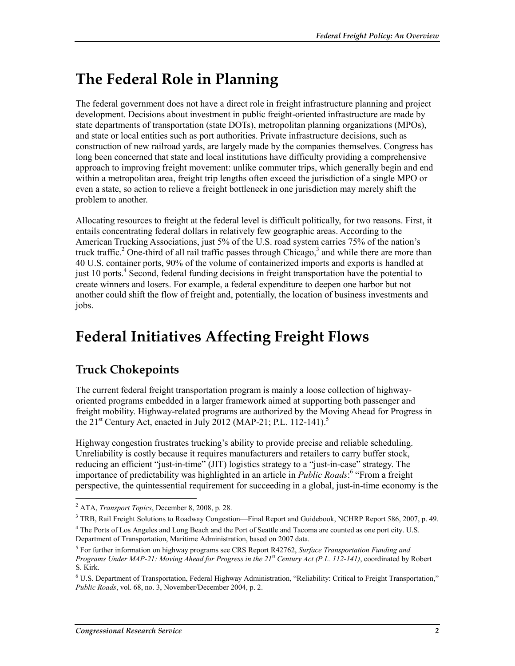## **The Federal Role in Planning**

The federal government does not have a direct role in freight infrastructure planning and project development. Decisions about investment in public freight-oriented infrastructure are made by state departments of transportation (state DOTs), metropolitan planning organizations (MPOs), and state or local entities such as port authorities. Private infrastructure decisions, such as construction of new railroad yards, are largely made by the companies themselves. Congress has long been concerned that state and local institutions have difficulty providing a comprehensive approach to improving freight movement: unlike commuter trips, which generally begin and end within a metropolitan area, freight trip lengths often exceed the jurisdiction of a single MPO or even a state, so action to relieve a freight bottleneck in one jurisdiction may merely shift the problem to another.

Allocating resources to freight at the federal level is difficult politically, for two reasons. First, it entails concentrating federal dollars in relatively few geographic areas. According to the American Trucking Associations, just 5% of the U.S. road system carries 75% of the nation's truck traffic.<sup>2</sup> One-third of all rail traffic passes through Chicago,<sup>3</sup> and while there are more than 40 U.S. container ports, 90% of the volume of containerized imports and exports is handled at just 10 ports.<sup>4</sup> Second, federal funding decisions in freight transportation have the potential to create winners and losers. For example, a federal expenditure to deepen one harbor but not another could shift the flow of freight and, potentially, the location of business investments and jobs.

### **Federal Initiatives Affecting Freight Flows**

#### **Truck Chokepoints**

The current federal freight transportation program is mainly a loose collection of highwayoriented programs embedded in a larger framework aimed at supporting both passenger and freight mobility. Highway-related programs are authorized by the Moving Ahead for Progress in the 21<sup>st</sup> Century Act, enacted in July 2012 (MAP-21: P.L. 112-141).<sup>5</sup>

Highway congestion frustrates trucking's ability to provide precise and reliable scheduling. Unreliability is costly because it requires manufacturers and retailers to carry buffer stock, reducing an efficient "just-in-time" (JIT) logistics strategy to a "just-in-case" strategy. The importance of predictability was highlighted in an article in *Public Roads*: "From a freight perspective, the quintessential requirement for succeeding in a global, just-in-time economy is the

<sup>1</sup> 2 ATA, *Transport Topics*, December 8, 2008, p. 28.

<sup>&</sup>lt;sup>3</sup> TRB, Rail Freight Solutions to Roadway Congestion—Final Report and Guidebook, NCHRP Report 586, 2007, p. 49.

<sup>&</sup>lt;sup>4</sup> The Ports of Los Angeles and Long Beach and the Port of Seattle and Tacoma are counted as one port city. U.S. Department of Transportation, Maritime Administration, based on 2007 data.

<sup>5</sup> For further information on highway programs see CRS Report R42762, *Surface Transportation Funding and Programs Under MAP-21: Moving Ahead for Progress in the 21st Century Act (P.L. 112-141)*, coordinated by Robert S. Kirk.

<sup>6</sup> U.S. Department of Transportation, Federal Highway Administration, "Reliability: Critical to Freight Transportation," *Public Roads*, vol. 68, no. 3, November/December 2004, p. 2.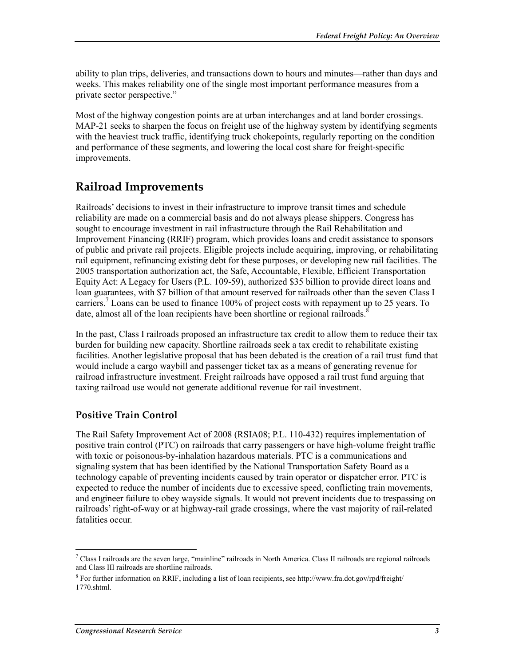ability to plan trips, deliveries, and transactions down to hours and minutes—rather than days and weeks. This makes reliability one of the single most important performance measures from a private sector perspective."

Most of the highway congestion points are at urban interchanges and at land border crossings. MAP-21 seeks to sharpen the focus on freight use of the highway system by identifying segments with the heaviest truck traffic, identifying truck chokepoints, regularly reporting on the condition and performance of these segments, and lowering the local cost share for freight-specific improvements.

#### **Railroad Improvements**

Railroads' decisions to invest in their infrastructure to improve transit times and schedule reliability are made on a commercial basis and do not always please shippers. Congress has sought to encourage investment in rail infrastructure through the Rail Rehabilitation and Improvement Financing (RRIF) program, which provides loans and credit assistance to sponsors of public and private rail projects. Eligible projects include acquiring, improving, or rehabilitating rail equipment, refinancing existing debt for these purposes, or developing new rail facilities. The 2005 transportation authorization act, the Safe, Accountable, Flexible, Efficient Transportation Equity Act: A Legacy for Users (P.L. 109-59), authorized \$35 billion to provide direct loans and loan guarantees, with \$7 billion of that amount reserved for railroads other than the seven Class I carriers.<sup>7</sup> Loans can be used to finance 100% of project costs with repayment up to 25 years. To date, almost all of the loan recipients have been shortline or regional railroads.<sup>8</sup>

In the past, Class I railroads proposed an infrastructure tax credit to allow them to reduce their tax burden for building new capacity. Shortline railroads seek a tax credit to rehabilitate existing facilities. Another legislative proposal that has been debated is the creation of a rail trust fund that would include a cargo waybill and passenger ticket tax as a means of generating revenue for railroad infrastructure investment. Freight railroads have opposed a rail trust fund arguing that taxing railroad use would not generate additional revenue for rail investment.

#### **Positive Train Control**

The Rail Safety Improvement Act of 2008 (RSIA08; P.L. 110-432) requires implementation of positive train control (PTC) on railroads that carry passengers or have high-volume freight traffic with toxic or poisonous-by-inhalation hazardous materials. PTC is a communications and signaling system that has been identified by the National Transportation Safety Board as a technology capable of preventing incidents caused by train operator or dispatcher error. PTC is expected to reduce the number of incidents due to excessive speed, conflicting train movements, and engineer failure to obey wayside signals. It would not prevent incidents due to trespassing on railroads' right-of-way or at highway-rail grade crossings, where the vast majority of rail-related fatalities occur.

1

 $^7$  Class I railroads are the seven large, "mainline" railroads in North America. Class II railroads are regional railroads and Class III railroads are shortline railroads.

<sup>8</sup> For further information on RRIF, including a list of loan recipients, see http://www.fra.dot.gov/rpd/freight/ 1770.shtml.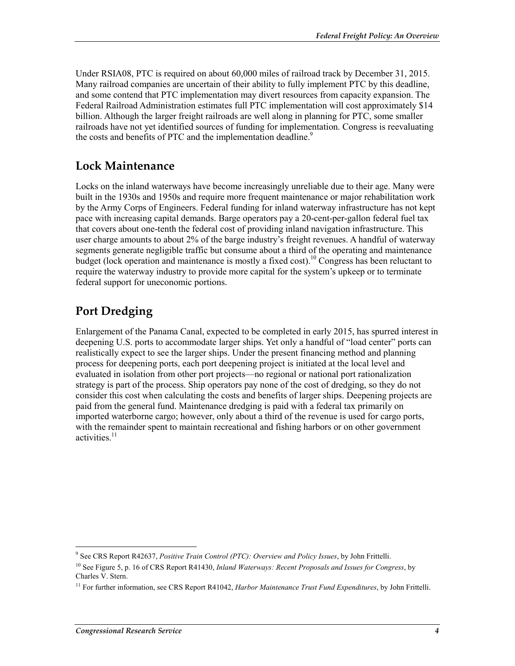Under RSIA08, PTC is required on about 60,000 miles of railroad track by December 31, 2015. Many railroad companies are uncertain of their ability to fully implement PTC by this deadline, and some contend that PTC implementation may divert resources from capacity expansion. The Federal Railroad Administration estimates full PTC implementation will cost approximately \$14 billion. Although the larger freight railroads are well along in planning for PTC, some smaller railroads have not yet identified sources of funding for implementation. Congress is reevaluating the costs and benefits of PTC and the implementation deadline.<sup>9</sup>

#### **Lock Maintenance**

Locks on the inland waterways have become increasingly unreliable due to their age. Many were built in the 1930s and 1950s and require more frequent maintenance or major rehabilitation work by the Army Corps of Engineers. Federal funding for inland waterway infrastructure has not kept pace with increasing capital demands. Barge operators pay a 20-cent-per-gallon federal fuel tax that covers about one-tenth the federal cost of providing inland navigation infrastructure. This user charge amounts to about 2% of the barge industry's freight revenues. A handful of waterway segments generate negligible traffic but consume about a third of the operating and maintenance budget (lock operation and maintenance is mostly a fixed cost).<sup>10</sup> Congress has been reluctant to require the waterway industry to provide more capital for the system's upkeep or to terminate federal support for uneconomic portions.

### **Port Dredging**

Enlargement of the Panama Canal, expected to be completed in early 2015, has spurred interest in deepening U.S. ports to accommodate larger ships. Yet only a handful of "load center" ports can realistically expect to see the larger ships. Under the present financing method and planning process for deepening ports, each port deepening project is initiated at the local level and evaluated in isolation from other port projects—no regional or national port rationalization strategy is part of the process. Ship operators pay none of the cost of dredging, so they do not consider this cost when calculating the costs and benefits of larger ships. Deepening projects are paid from the general fund. Maintenance dredging is paid with a federal tax primarily on imported waterborne cargo; however, only about a third of the revenue is used for cargo ports, with the remainder spent to maintain recreational and fishing harbors or on other government activities. $11$ 

 9 See CRS Report R42637, *Positive Train Control (PTC): Overview and Policy Issues*, by John Frittelli.

<sup>10</sup> See Figure 5, p. 16 of CRS Report R41430, *Inland Waterways: Recent Proposals and Issues for Congress*, by Charles V. Stern.

<sup>11</sup> For further information, see CRS Report R41042, *Harbor Maintenance Trust Fund Expenditures*, by John Frittelli.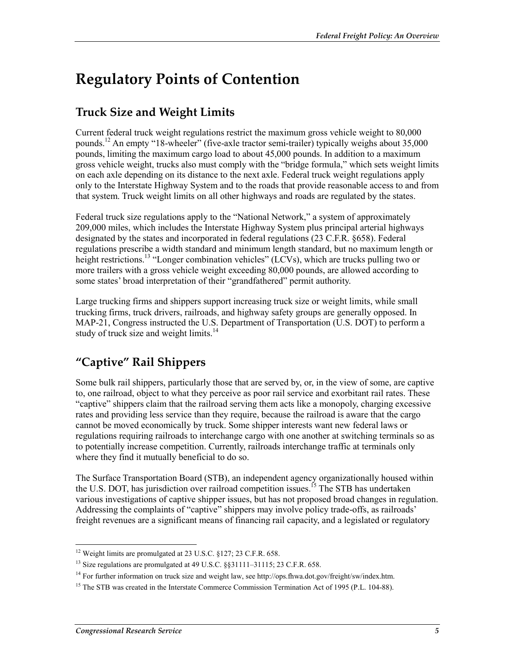### **Regulatory Points of Contention**

#### **Truck Size and Weight Limits**

Current federal truck weight regulations restrict the maximum gross vehicle weight to 80,000 pounds.<sup>12</sup> An empty "18-wheeler" (five-axle tractor semi-trailer) typically weighs about 35,000 pounds, limiting the maximum cargo load to about 45,000 pounds. In addition to a maximum gross vehicle weight, trucks also must comply with the "bridge formula," which sets weight limits on each axle depending on its distance to the next axle. Federal truck weight regulations apply only to the Interstate Highway System and to the roads that provide reasonable access to and from that system. Truck weight limits on all other highways and roads are regulated by the states.

Federal truck size regulations apply to the "National Network," a system of approximately 209,000 miles, which includes the Interstate Highway System plus principal arterial highways designated by the states and incorporated in federal regulations (23 C.F.R. §658). Federal regulations prescribe a width standard and minimum length standard, but no maximum length or height restrictions.<sup>13</sup> "Longer combination vehicles" (LCVs), which are trucks pulling two or more trailers with a gross vehicle weight exceeding 80,000 pounds, are allowed according to some states' broad interpretation of their "grandfathered" permit authority.

Large trucking firms and shippers support increasing truck size or weight limits, while small trucking firms, truck drivers, railroads, and highway safety groups are generally opposed. In MAP-21, Congress instructed the U.S. Department of Transportation (U.S. DOT) to perform a study of truck size and weight limits.<sup>14</sup>

### **"Captive" Rail Shippers**

Some bulk rail shippers, particularly those that are served by, or, in the view of some, are captive to, one railroad, object to what they perceive as poor rail service and exorbitant rail rates. These "captive" shippers claim that the railroad serving them acts like a monopoly, charging excessive rates and providing less service than they require, because the railroad is aware that the cargo cannot be moved economically by truck. Some shipper interests want new federal laws or regulations requiring railroads to interchange cargo with one another at switching terminals so as to potentially increase competition. Currently, railroads interchange traffic at terminals only where they find it mutually beneficial to do so.

The Surface Transportation Board (STB), an independent agency organizationally housed within the U.S. DOT, has jurisdiction over railroad competition issues.<sup>15</sup> The STB has undertaken various investigations of captive shipper issues, but has not proposed broad changes in regulation. Addressing the complaints of "captive" shippers may involve policy trade-offs, as railroads' freight revenues are a significant means of financing rail capacity, and a legislated or regulatory

<sup>1</sup> <sup>12</sup> Weight limits are promulgated at 23 U.S.C. §127; 23 C.F.R. 658.

<sup>&</sup>lt;sup>13</sup> Size regulations are promulgated at 49 U.S.C. §§31111-31115; 23 C.F.R. 658.

<sup>&</sup>lt;sup>14</sup> For further information on truck size and weight law, see http://ops.fhwa.dot.gov/freight/sw/index.htm.

<sup>&</sup>lt;sup>15</sup> The STB was created in the Interstate Commerce Commission Termination Act of 1995 (P.L. 104-88).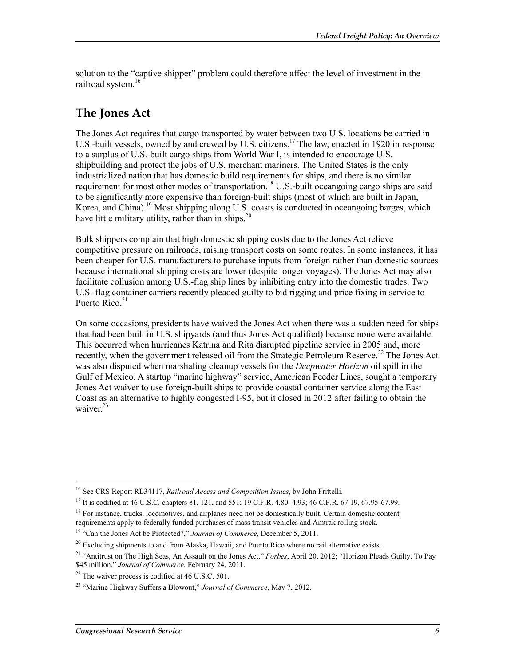solution to the "captive shipper" problem could therefore affect the level of investment in the railroad system.<sup>16</sup>

#### **The Jones Act**

The Jones Act requires that cargo transported by water between two U.S. locations be carried in U.S.-built vessels, owned by and crewed by U.S. citizens.<sup>17</sup> The law, enacted in 1920 in response to a surplus of U.S.-built cargo ships from World War I, is intended to encourage U.S. shipbuilding and protect the jobs of U.S. merchant mariners. The United States is the only industrialized nation that has domestic build requirements for ships, and there is no similar requirement for most other modes of transportation.<sup>18</sup> U.S.-built oceangoing cargo ships are said to be significantly more expensive than foreign-built ships (most of which are built in Japan, Korea, and China).<sup>19</sup> Most shipping along U.S. coasts is conducted in oceangoing barges, which have little military utility, rather than in ships.<sup>20</sup>

Bulk shippers complain that high domestic shipping costs due to the Jones Act relieve competitive pressure on railroads, raising transport costs on some routes. In some instances, it has been cheaper for U.S. manufacturers to purchase inputs from foreign rather than domestic sources because international shipping costs are lower (despite longer voyages). The Jones Act may also facilitate collusion among U.S.-flag ship lines by inhibiting entry into the domestic trades. Two U.S.-flag container carriers recently pleaded guilty to bid rigging and price fixing in service to Puerto Rico. $21$ 

On some occasions, presidents have waived the Jones Act when there was a sudden need for ships that had been built in U.S. shipyards (and thus Jones Act qualified) because none were available. This occurred when hurricanes Katrina and Rita disrupted pipeline service in 2005 and, more recently, when the government released oil from the Strategic Petroleum Reserve.<sup>22</sup> The Jones Act was also disputed when marshaling cleanup vessels for the *Deepwater Horizon* oil spill in the Gulf of Mexico. A startup "marine highway" service, American Feeder Lines, sought a temporary Jones Act waiver to use foreign-built ships to provide coastal container service along the East Coast as an alternative to highly congested I-95, but it closed in 2012 after failing to obtain the waiver $^{23}$ 

<sup>1</sup> 16 See CRS Report RL34117, *Railroad Access and Competition Issues*, by John Frittelli.

<sup>&</sup>lt;sup>17</sup> It is codified at 46 U.S.C. chapters 81, 121, and 551; 19 C.F.R. 4.80–4.93; 46 C.F.R. 67.19, 67.95-67.99.

<sup>&</sup>lt;sup>18</sup> For instance, trucks, locomotives, and airplanes need not be domestically built. Certain domestic content requirements apply to federally funded purchases of mass transit vehicles and Amtrak rolling stock.

<sup>19 &</sup>quot;Can the Jones Act be Protected?," *Journal of Commerce*, December 5, 2011.

 $^{20}$  Excluding shipments to and from Alaska, Hawaii, and Puerto Rico where no rail alternative exists.

<sup>21 &</sup>quot;Antitrust on The High Seas, An Assault on the Jones Act," *Forbes*, April 20, 2012; "Horizon Pleads Guilty, To Pay \$45 million," *Journal of Commerce*, February 24, 2011.

 $22$  The waiver process is codified at 46 U.S.C. 501.

<sup>23 &</sup>quot;Marine Highway Suffers a Blowout," *Journal of Commerce*, May 7, 2012.